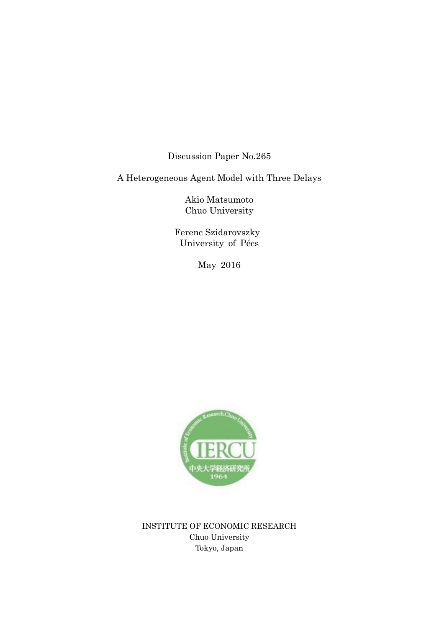Discussion Paper No.265

A Heterogeneous Agent Model with Three Delays

Akio Matsumoto Chuo University

 Ferenc Szidarovszky University of Pécs

May 2016



INSTITUTE OF ECONOMIC RESEARCH Chuo University Tokyo, Japan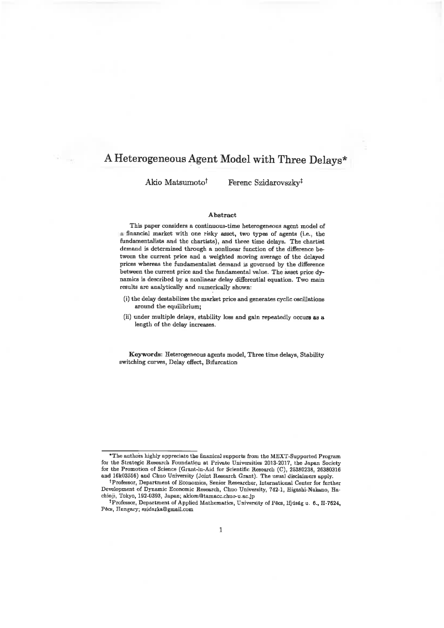# A Heterogeneous Agent Model with Three Delays\*

Akio Matsumoto<sup>†</sup>

Ferenc Szidarovszky<sup>‡</sup>

#### Abstract

This paper considers a continuous-time heterogeneous agent model of a financial market with one risky asset, two types of agents (i.e., the fundamentalists and the chartists), and three time delays. The chartist demand is determined through a nonlinear function of the difference between the current price and a weighted moving average of the delayed prices whereas the fundamentalist demand is governed by the difference between the current price and the fundamental value. The asset price dynamics is described by a nonlinear delay differential equation. Two main results are analytically and numerically shown:

- (i) the delay destabilizes the market price and generates cyclic oscillations around the equilibrium;
- (ii) under multiple delays, stability loss and gain repeatedly occurs as a length of the delay increases.

Keywords: Heterogeneous agents model, Three time delays, Stability switching curves, Delay effect, Bifurcation

<sup>\*</sup>The authors highly appreciate the finanical supports from the MEXT-Supported Program for the Strategic Research Foundation at Private Universities 2013-2017, the Japan Society for the Promotion of Science (Grant-in-Aid for Scientific Research (C), 25380238, 26380316 and 16k03556) and Chuo University (Joint Research Grant). The usual disclaimers apply.

<sup>&</sup>lt;sup>†</sup> Professor, Department of Economics, Senior Researcher, International Center for further Development of Dynamic Economic Research, Chuo University, 742-1, Higashi-Nakano, Hachioji, Tokyo, 192-0393, Japan; akiom@tamacc.chuo-u.ac.jp

<sup>&</sup>lt;sup>‡</sup>Professor, Department of Applied Mathematics, University of Pécs, Ifjúság u. 6., H-7624, Pécs, Hungary; szidarka@gmail.com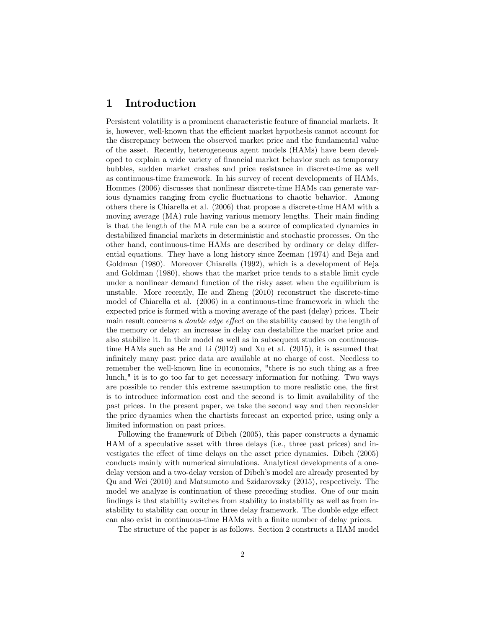# 1 Introduction

Persistent volatility is a prominent characteristic feature of financial markets. It is, however, well-known that the efficient market hypothesis cannot account for the discrepancy between the observed market price and the fundamental value of the asset. Recently, heterogeneous agent models (HAMs) have been developed to explain a wide variety of Önancial market behavior such as temporary bubbles, sudden market crashes and price resistance in discrete-time as well as continuous-time framework. In his survey of recent developments of HAMs, Hommes (2006) discusses that nonlinear discrete-time HAMs can generate various dynamics ranging from cyclic fluctuations to chaotic behavior. Among others there is Chiarella et al. (2006) that propose a discrete-time HAM with a moving average (MA) rule having various memory lengths. Their main finding is that the length of the MA rule can be a source of complicated dynamics in destabilized financial markets in deterministic and stochastic processes. On the other hand, continuous-time HAMs are described by ordinary or delay differential equations. They have a long history since Zeeman (1974) and Beja and Goldman (1980). Moreover Chiarella (1992), which is a development of Beja and Goldman (1980), shows that the market price tends to a stable limit cycle under a nonlinear demand function of the risky asset when the equilibrium is unstable. More recently, He and Zheng (2010) reconstruct the discrete-time model of Chiarella et al. (2006) in a continuous-time framework in which the expected price is formed with a moving average of the past (delay) prices. Their main result concerns a *double edge effect* on the stability caused by the length of the memory or delay: an increase in delay can destabilize the market price and also stabilize it. In their model as well as in subsequent studies on continuoustime HAMs such as He and Li (2012) and Xu et al. (2015), it is assumed that infinitely many past price data are available at no charge of cost. Needless to remember the well-known line in economics, "there is no such thing as a free lunch," it is to go too far to get necessary information for nothing. Two ways are possible to render this extreme assumption to more realistic one, the first is to introduce information cost and the second is to limit availability of the past prices. In the present paper, we take the second way and then reconsider the price dynamics when the chartists forecast an expected price, using only a limited information on past prices.

Following the framework of Dibeh (2005), this paper constructs a dynamic HAM of a speculative asset with three delays (i.e., three past prices) and investigates the effect of time delays on the asset price dynamics. Dibeh (2005) conducts mainly with numerical simulations. Analytical developments of a onedelay version and a two-delay version of Dibeh's model are already presented by Qu and Wei (2010) and Matsumoto and Szidarovszky (2015), respectively. The model we analyze is continuation of these preceding studies. One of our main findings is that stability switches from stability to instability as well as from instability to stability can occur in three delay framework. The double edge effect can also exist in continuous-time HAMs with a finite number of delay prices.

The structure of the paper is as follows. Section 2 constructs a HAM model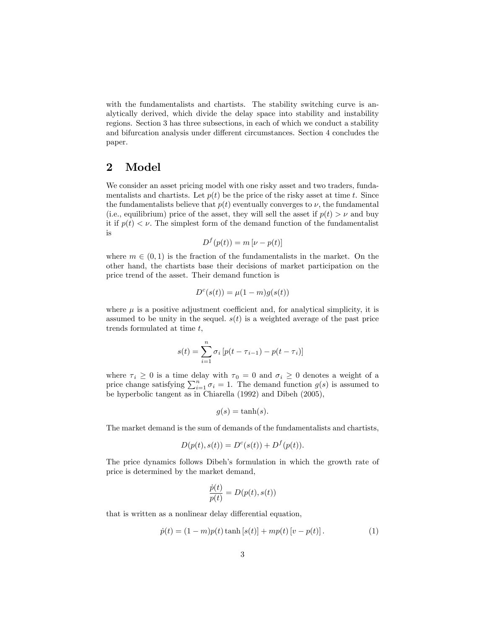with the fundamentalists and chartists. The stability switching curve is analytically derived, which divide the delay space into stability and instability regions. Section 3 has three subsections, in each of which we conduct a stability and bifurcation analysis under different circumstances. Section 4 concludes the paper.

## 2 Model

We consider an asset pricing model with one risky asset and two traders, fundamentalists and chartists. Let  $p(t)$  be the price of the risky asset at time t. Since the fundamentalists believe that  $p(t)$  eventually converges to  $\nu$ , the fundamental (i.e., equilibrium) price of the asset, they will sell the asset if  $p(t) > \nu$  and buy it if  $p(t) < \nu$ . The simplest form of the demand function of the fundamentalist is

$$
D^{f}(p(t)) = m [\nu - p(t)]
$$

where  $m \in (0, 1)$  is the fraction of the fundamentalists in the market. On the other hand, the chartists base their decisions of market participation on the price trend of the asset. Their demand function is

$$
D^{c}(s(t)) = \mu(1-m)g(s(t))
$$

where  $\mu$  is a positive adjustment coefficient and, for analytical simplicity, it is assumed to be unity in the sequel.  $s(t)$  is a weighted average of the past price trends formulated at time t;

$$
s(t) = \sum_{i=1}^{n} \sigma_i \left[ p(t - \tau_{i-1}) - p(t - \tau_i) \right]
$$

where  $\tau_i \geq 0$  is a time delay with  $\tau_0 = 0$  and  $\sigma_i \geq 0$  denotes a weight of a price change satisfying  $\sum_{i=1}^{n} \sigma_i = 1$ . The demand function  $g(s)$  is assumed to be hyperbolic tangent as in Chiarella (1992) and Dibeh (2005),

$$
g(s) = \tanh(s).
$$

The market demand is the sum of demands of the fundamentalists and chartists,

$$
D(p(t), s(t)) = D^{c}(s(t)) + D^{f}(p(t)).
$$

The price dynamics follows Dibeh's formulation in which the growth rate of price is determined by the market demand,

$$
\frac{\dot{p}(t)}{p(t)}=D(p(t),s(t))
$$

that is written as a nonlinear delay differential equation,

$$
\dot{p}(t) = (1 - m)p(t)\tanh[s(t)] + mp(t)[v - p(t)].
$$
\n(1)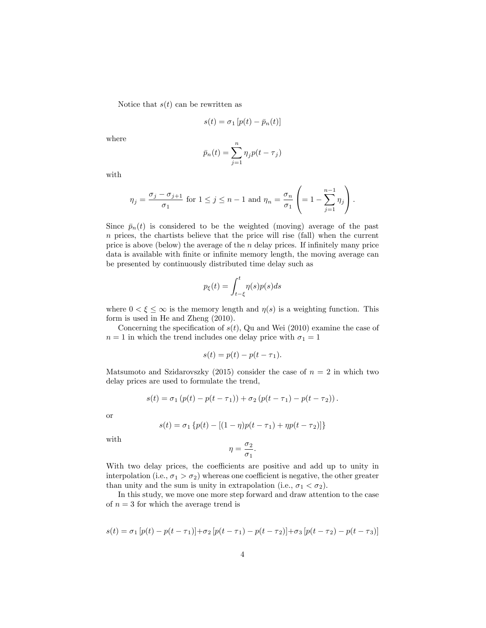Notice that  $s(t)$  can be rewritten as

$$
s(t) = \sigma_1 \left[ p(t) - \bar{p}_n(t) \right]
$$

where

$$
\bar{p}_n(t) = \sum_{j=1}^n \eta_j p(t - \tau_j)
$$

with

$$
\eta_j = \frac{\sigma_j - \sigma_{j+1}}{\sigma_1} \text{ for } 1 \le j \le n-1 \text{ and } \eta_n = \frac{\sigma_n}{\sigma_1} \left( = 1 - \sum_{j=1}^{n-1} \eta_j \right).
$$

Since  $\bar{p}_n(t)$  is considered to be the weighted (moving) average of the past  $n$  prices, the chartists believe that the price will rise (fall) when the current price is above (below) the average of the  $n$  delay prices. If infinitely many price data is available with finite or infinite memory length, the moving average can be presented by continuously distributed time delay such as

$$
p_{\xi}(t) = \int_{t-\xi}^{t} \eta(s)p(s)ds
$$

where  $0 < \xi \leq \infty$  is the memory length and  $\eta(s)$  is a weighting function. This form is used in He and Zheng (2010).

Concerning the specification of  $s(t)$ , Qu and Wei (2010) examine the case of  $n = 1$  in which the trend includes one delay price with  $\sigma_1 = 1$ 

$$
s(t) = p(t) - p(t - \tau_1).
$$

Matsumoto and Szidarovszky (2015) consider the case of  $n = 2$  in which two delay prices are used to formulate the trend,

$$
s(t) = \sigma_1 (p(t) - p(t - \tau_1)) + \sigma_2 (p(t - \tau_1) - p(t - \tau_2)).
$$

or

$$
s(t) = \sigma_1 \{ p(t) - [(1 - \eta)p(t - \tau_1) + \eta p(t - \tau_2)] \}
$$

with

$$
\eta=\frac{\sigma_2}{\sigma_1}.
$$

With two delay prices, the coefficients are positive and add up to unity in interpolation (i.e.,  $\sigma_1 > \sigma_2$ ) whereas one coefficient is negative, the other greater than unity and the sum is unity in extrapolation (i.e.,  $\sigma_1 < \sigma_2$ ).

In this study, we move one more step forward and draw attention to the case of  $n = 3$  for which the average trend is

$$
s(t) = \sigma_1 \left[ p(t) - p(t - \tau_1) \right] + \sigma_2 \left[ p(t - \tau_1) - p(t - \tau_2) \right] + \sigma_3 \left[ p(t - \tau_2) - p(t - \tau_3) \right]
$$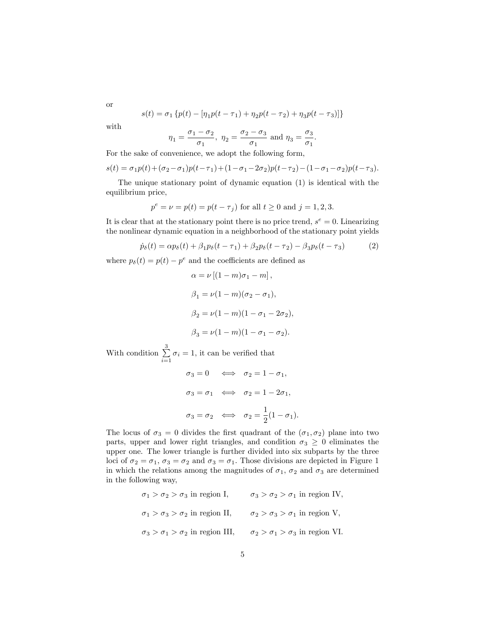$$
s(t) = \sigma_1 \left\{ p(t) - \left[ \eta_1 p(t - \tau_1) + \eta_2 p(t - \tau_2) + \eta_3 p(t - \tau_3) \right] \right\}
$$

or with

$$
\eta_1=\frac{\sigma_1-\sigma_2}{\sigma_1},\ \eta_2=\frac{\sigma_2-\sigma_3}{\sigma_1}\ \text{and}\ \eta_3=\frac{\sigma_3}{\sigma_1}.
$$

For the sake of convenience, we adopt the following form,

$$
s(t) = \sigma_1 p(t) + (\sigma_2 - \sigma_1) p(t - \tau_1) + (1 - \sigma_1 - 2\sigma_2) p(t - \tau_2) - (1 - \sigma_1 - \sigma_2) p(t - \tau_3).
$$

The unique stationary point of dynamic equation (1) is identical with the equilibrium price,

$$
p^{e} = \nu = p(t) = p(t - \tau_j)
$$
 for all  $t \ge 0$  and  $j = 1, 2, 3$ .

It is clear that at the stationary point there is no price trend,  $s^e = 0$ . Linearizing the nonlinear dynamic equation in a neighborhood of the stationary point yields

$$
\dot{p}_{\delta}(t) = \alpha p_{\delta}(t) + \beta_1 p_{\delta}(t - \tau_1) + \beta_2 p_{\delta}(t - \tau_2) - \beta_3 p_{\delta}(t - \tau_3)
$$
(2)

where  $p_\delta(t) = p(t) - p^e$  and the coefficients are defined as

$$
\alpha = \nu [(1 - m)\sigma_1 - m],
$$
  
\n
$$
\beta_1 = \nu (1 - m)(\sigma_2 - \sigma_1),
$$
  
\n
$$
\beta_2 = \nu (1 - m)(1 - \sigma_1 - 2\sigma_2),
$$
  
\n
$$
\beta_3 = \nu (1 - m)(1 - \sigma_1 - \sigma_2).
$$

With condition  $\sum_{i=1}^{3}$  $\sum_{i=1}$   $\sigma_i = 1$ , it can be verified that

$$
\sigma_3 = 0 \iff \sigma_2 = 1 - \sigma_1,
$$
  

$$
\sigma_3 = \sigma_1 \iff \sigma_2 = 1 - 2\sigma_1,
$$
  

$$
\sigma_3 = \sigma_2 \iff \sigma_2 = \frac{1}{2}(1 - \sigma_1).
$$

The locus of  $\sigma_3 = 0$  divides the first quadrant of the  $(\sigma_1, \sigma_2)$  plane into two parts, upper and lower right triangles, and condition  $\sigma_3 \geq 0$  eliminates the upper one. The lower triangle is further divided into six subparts by the three loci of  $\sigma_2 = \sigma_1$ ,  $\sigma_3 = \sigma_2$  and  $\sigma_3 = \sigma_1$ . Those divisions are depicted in Figure 1 in which the relations among the magnitudes of  $\sigma_1$ ,  $\sigma_2$  and  $\sigma_3$  are determined in the following way,

$$
\sigma_1 > \sigma_2 > \sigma_3
$$
 in region I, 
$$
\sigma_3 > \sigma_2 > \sigma_1
$$
 in region IV, 
$$
\sigma_1 > \sigma_3 > \sigma_2
$$
 in region II, 
$$
\sigma_2 > \sigma_3 > \sigma_1
$$
 in region V, 
$$
\sigma_3 > \sigma_1 > \sigma_2
$$
 in region III, 
$$
\sigma_2 > \sigma_1 > \sigma_3
$$
 in region VI.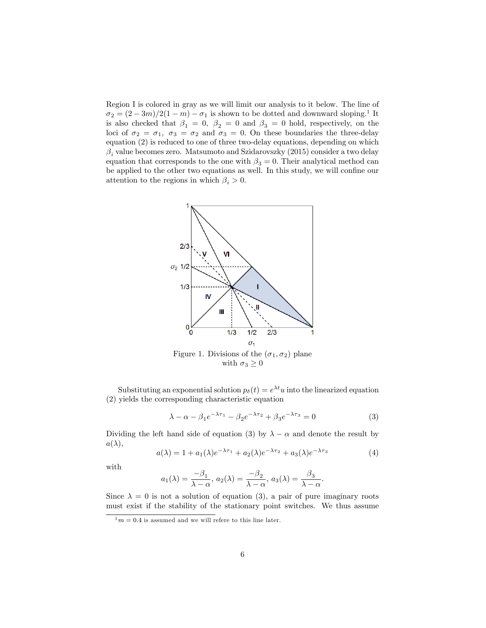Region I is colored in gray as we will limit our analysis to it below. The line of  $\sigma_2 = (2 - 3m)/2(1 - m) - \sigma_1$  is shown to be dotted and downward sloping.<sup>1</sup> It is also checked that  $\beta_1 = 0$ ,  $\beta_2 = 0$  and  $\beta_3 = 0$  hold, respectively, on the loci of  $\sigma_2 = \sigma_1$ ,  $\sigma_3 = \sigma_2$  and  $\sigma_3 = 0$ . On these boundaries the three-delay equation (2) is reduced to one of three two-delay equations, depending on which  $\beta_i$  value becomes zero. Matsumoto and Szidarovszky (2015) consider a two delay equation that corresponds to the one with  $\beta_3 = 0$ . Their analytical method can be applied to the other two equations as well. In this study, we will confine our attention to the regions in which  $\beta_i > 0$ .



Figure 1. Divisions of the  $(\sigma_1, \sigma_2)$  plane with  $\sigma_3 \geq 0$ 

Substituting an exponential solution  $p_{\delta}(t) = e^{\lambda t}u$  into the linearized equation (2) yields the corresponding characteristic equation

$$
\lambda - \alpha - \beta_1 e^{-\lambda \tau_1} - \beta_2 e^{-\lambda \tau_2} + \beta_3 e^{-\lambda \tau_3} = 0
$$
 (3)

Dividing the left hand side of equation (3) by  $\lambda - \alpha$  and denote the result by  $a(\lambda),$ 

$$
a(\lambda) = 1 + a_1(\lambda)e^{-\lambda \tau_1} + a_2(\lambda)e^{-\lambda \tau_2} + a_3(\lambda)e^{-\lambda \tau_3}
$$
\n<sup>(4)</sup>

with

$$
a_1(\lambda) = \frac{-\beta_1}{\lambda - \alpha}, \ a_2(\lambda) = \frac{-\beta_2}{\lambda - \alpha}, \ a_3(\lambda) = \frac{\beta_3}{\lambda - \alpha}.
$$

Since  $\lambda = 0$  is not a solution of equation (3), a pair of pure imaginary roots must exist if the stability of the stationary point switches. We thus assume

 $\frac{1}{1}m = 0.4$  is assumed and we will refere to this line later.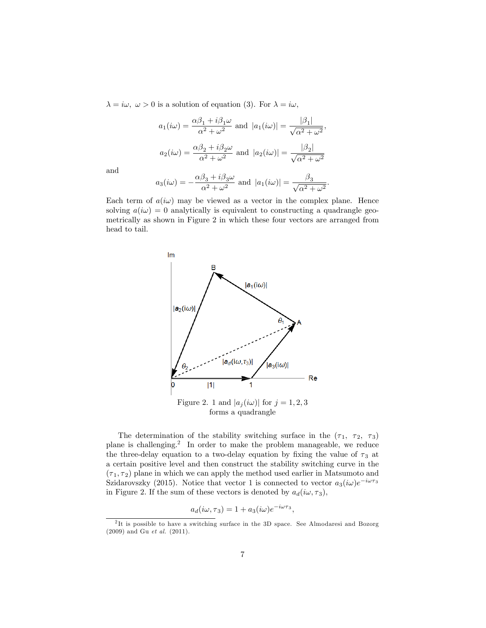$\lambda = i\omega, \ \omega > 0$  is a solution of equation (3). For  $\lambda = i\omega$ ,

$$
a_1(i\omega) = \frac{\alpha\beta_1 + i\beta_1\omega}{\alpha^2 + \omega^2} \text{ and } |a_1(i\omega)| = \frac{|\beta_1|}{\sqrt{\alpha^2 + \omega^2}},
$$

$$
a_2(i\omega) = \frac{\alpha\beta_2 + i\beta_2\omega}{\alpha^2 + \omega^2} \text{ and } |a_2(i\omega)| = \frac{|\beta_2|}{\sqrt{\alpha^2 + \omega^2}}
$$

and

$$
a_3(i\omega) = -\frac{\alpha\beta_3 + i\beta_3\omega}{\alpha^2 + \omega^2}
$$
 and  $|a_1(i\omega)| = \frac{\beta_3}{\sqrt{\alpha^2 + \omega^2}}$ .

Each term of  $a(i\omega)$  may be viewed as a vector in the complex plane. Hence solving  $a(i\omega) = 0$  analytically is equivalent to constructing a quadrangle geometrically as shown in Figure 2 in which these four vectors are arranged from head to tail.



The determination of the stability switching surface in the  $(\tau_1, \tau_2, \tau_3)$ plane is challenging.<sup>2</sup> In order to make the problem manageable, we reduce the three-delay equation to a two-delay equation by fixing the value of  $\tau_3$  at a certain positive level and then construct the stability switching curve in the  $(\tau_1, \tau_2)$  plane in which we can apply the method used earlier in Matsumoto and Szidarovszky (2015). Notice that vector 1 is connected to vector  $a_3(i\omega)e^{-i\omega\tau_3}$ in Figure 2. If the sum of these vectors is denoted by  $a_d(i\omega, \tau_3)$ ,

$$
a_d(i\omega, \tau_3) = 1 + a_3(i\omega)e^{-i\omega\tau_3},
$$

<sup>&</sup>lt;sup>2</sup>It is possible to have a switching surface in the 3D space. See Almodaresi and Bozorg (2009) and Gu et al. (2011).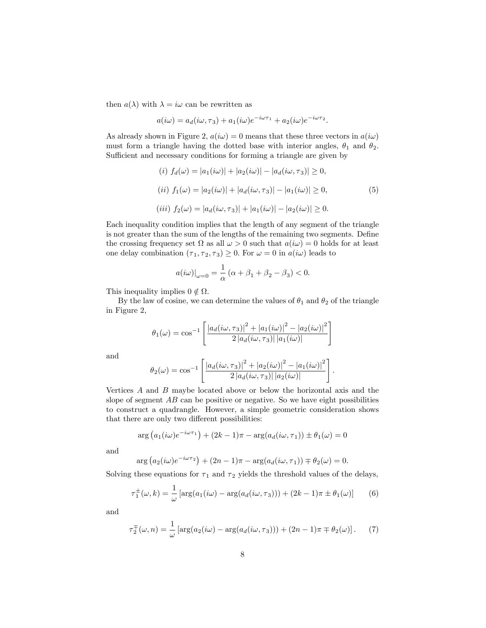then  $a(\lambda)$  with  $\lambda = i\omega$  can be rewritten as

$$
a(i\omega) = a_d(i\omega, \tau_3) + a_1(i\omega)e^{-i\omega\tau_1} + a_2(i\omega)e^{-i\omega\tau_2}.
$$

As already shown in Figure 2,  $a(i\omega) = 0$  means that these three vectors in  $a(i\omega)$ must form a triangle having the dotted base with interior angles,  $\theta_1$  and  $\theta_2$ . Sufficient and necessary conditions for forming a triangle are given by

$$
(i) \ f_d(\omega) = |a_1(i\omega)| + |a_2(i\omega)| - |a_d(i\omega, \tau_3)| \ge 0,
$$
  
\n
$$
(ii) \ f_1(\omega) = |a_2(i\omega)| + |a_d(i\omega, \tau_3)| - |a_1(i\omega)| \ge 0,
$$
  
\n
$$
(iii) \ f_2(\omega) = |a_d(i\omega, \tau_3)| + |a_1(i\omega)| - |a_2(i\omega)| \ge 0.
$$
\n
$$
(5)
$$

Each inequality condition implies that the length of any segment of the triangle is not greater than the sum of the lengths of the remaining two segments. Define the crossing frequency set  $\Omega$  as all  $\omega > 0$  such that  $a(i\omega) = 0$  holds for at least one delay combination  $(\tau_1, \tau_2, \tau_3) \geq 0$ . For  $\omega = 0$  in  $a(i\omega)$  leads to

$$
a(i\omega)|_{\omega=0} = \frac{1}{\alpha} \left( \alpha + \beta_1 + \beta_2 - \beta_3 \right) < 0.
$$

This inequality implies  $0 \notin \Omega$ .

By the law of cosine, we can determine the values of  $\theta_1$  and  $\theta_2$  of the triangle in Figure 2,

$$
\theta_1(\omega) = \cos^{-1}\left[\frac{|a_d(i\omega, \tau_3)|^2 + |a_1(i\omega)|^2 - |a_2(i\omega)|^2}{2|a_d(i\omega, \tau_3)| |a_1(i\omega)|}\right]
$$

and

$$
\theta_2(\omega) = \cos^{-1}\left[\frac{|a_d(i\omega, \tau_3)|^2 + |a_2(i\omega)|^2 - |a_1(i\omega)|^2}{2|a_d(i\omega, \tau_3)| |a_2(i\omega)|}\right]
$$

:

Vertices A and B maybe located above or below the horizontal axis and the slope of segment  $AB$  can be positive or negative. So we have eight possibilities to construct a quadrangle. However, a simple geometric consideration shows that there are only two different possibilities:

$$
\arg (a_1(i\omega)e^{-i\omega\tau_1}) + (2k-1)\pi - \arg(a_d(i\omega, \tau_1)) \pm \theta_1(\omega) = 0
$$

and

$$
\arg (a_2(i\omega)e^{-i\omega\tau_2}) + (2n - 1)\pi - \arg(a_d(i\omega, \tau_1)) \mp \theta_2(\omega) = 0.
$$

Solving these equations for  $\tau_1$  and  $\tau_2$  yields the threshold values of the delays,

$$
\tau_1^{\pm}(\omega,k) = \frac{1}{\omega} \left[ \arg(a_1(i\omega) - \arg(a_d(i\omega,\tau_3))) + (2k-1)\pi \pm \theta_1(\omega) \right] \tag{6}
$$

and

$$
\tau_2^{\pm}(\omega, n) = \frac{1}{\omega} \left[ \arg(a_2(i\omega) - \arg(a_d(i\omega, \tau_3))) + (2n - 1)\pi \mp \theta_2(\omega) \right]. \tag{7}
$$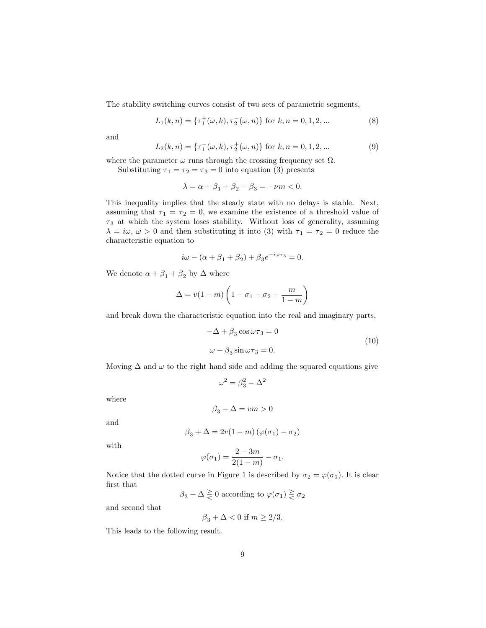The stability switching curves consist of two sets of parametric segments,

$$
L_1(k,n) = \{\tau_1^+(\omega,k), \tau_2^-(\omega,n)\} \text{ for } k,n = 0,1,2,\dots
$$
 (8)

and

$$
L_2(k,n) = \{\tau_1^-(\omega,k), \tau_2^+(\omega,n)\} \text{ for } k,n = 0,1,2,\dots
$$
 (9)

where the parameter  $\omega$  runs through the crossing frequency set  $\Omega$ .

Substituting  $\tau_1 = \tau_2 = \tau_3 = 0$  into equation (3) presents

$$
\lambda = \alpha + \beta_1 + \beta_2 - \beta_3 = -\nu m < 0.
$$

This inequality implies that the steady state with no delays is stable. Next, assuming that  $\tau_1 = \tau_2 = 0$ , we examine the existence of a threshold value of  $\tau_3$  at which the system loses stability. Without loss of generality, assuming  $\lambda = i\omega, \omega > 0$  and then substituting it into (3) with  $\tau_1 = \tau_2 = 0$  reduce the characteristic equation to

$$
i\omega - (\alpha + \beta_1 + \beta_2) + \beta_3 e^{-i\omega \tau_3} = 0.
$$

We denote  $\alpha + \beta_1 + \beta_2$  by  $\Delta$  where

$$
\Delta = v(1-m)\left(1 - \sigma_1 - \sigma_2 - \frac{m}{1-m}\right)
$$

and break down the characteristic equation into the real and imaginary parts,

$$
-\Delta + \beta_3 \cos \omega \tau_3 = 0
$$
  

$$
\omega - \beta_3 \sin \omega \tau_3 = 0.
$$
 (10)

Moving  $\Delta$  and  $\omega$  to the right hand side and adding the squared equations give

$$
\omega^2 = \beta_3^2 - \Delta^2
$$

where

$$
\beta_3 - \Delta = v m > 0
$$

and

$$
\beta_3 + \Delta = 2v(1 - m)\left(\varphi(\sigma_1) - \sigma_2\right)
$$

with

$$
\varphi(\sigma_1) = \frac{2 - 3m}{2(1 - m)} - \sigma_1.
$$

Notice that the dotted curve in Figure 1 is described by  $\sigma_2 = \varphi(\sigma_1)$ . It is clear first that

$$
\beta_3 + \Delta \gtrless 0
$$
 according to  $\varphi(\sigma_1) \gtrless \sigma_2$ 

and second that

$$
\beta_3+\Delta<0 \ {\rm if} \ m\geq 2/3.
$$

This leads to the following result.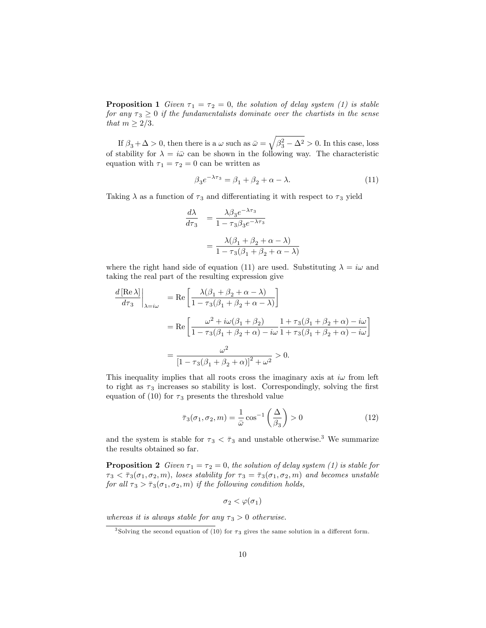**Proposition 1** Given  $\tau_1 = \tau_2 = 0$ , the solution of delay system (1) is stable for any  $\tau_3 \geq 0$  if the fundamentalists dominate over the chartists in the sense that  $m \geq 2/3$ .

If  $\beta_3 + \Delta > 0$ , then there is a  $\omega$  such as  $\bar{\omega} = \sqrt{\beta_3^2 - \Delta^2} > 0$ . In this case, loss of stability for  $\lambda = i\bar{\omega}$  can be shown in the following way. The characteristic equation with  $\tau_1 = \tau_2 = 0$  can be written as

$$
\beta_3 e^{-\lambda \tau_3} = \beta_1 + \beta_2 + \alpha - \lambda. \tag{11}
$$

Taking  $\lambda$  as a function of  $\tau_3$  and differentiating it with respect to  $\tau_3$  yield

$$
\frac{d\lambda}{d\tau_3} = \frac{\lambda\beta_3 e^{-\lambda\tau_3}}{1 - \tau_3\beta_3 e^{-\lambda\tau_3}}
$$

$$
= \frac{\lambda(\beta_1 + \beta_2 + \alpha - \lambda)}{1 - \tau_3(\beta_1 + \beta_2 + \alpha - \lambda)}
$$

where the right hand side of equation (11) are used. Substituting  $\lambda = i\omega$  and taking the real part of the resulting expression give

$$
\frac{d\left[\text{Re }\lambda\right]}{d\tau_3}\Big|_{\lambda=i\omega} = \text{Re}\left[\frac{\lambda(\beta_1 + \beta_2 + \alpha - \lambda)}{1 - \tau_3(\beta_1 + \beta_2 + \alpha - \lambda)}\right]
$$

$$
= \text{Re}\left[\frac{\omega^2 + i\omega(\beta_1 + \beta_2)}{1 - \tau_3(\beta_1 + \beta_2 + \alpha) - i\omega}\frac{1 + \tau_3(\beta_1 + \beta_2 + \alpha) - i\omega}{1 + \tau_3(\beta_1 + \beta_2 + \alpha) - i\omega}\right]
$$

$$
= \frac{\omega^2}{\left[1 - \tau_3(\beta_1 + \beta_2 + \alpha)\right]^2 + \omega^2} > 0.
$$

This inequality implies that all roots cross the imaginary axis at  $i\omega$  from left to right as  $\tau_3$  increases so stability is lost. Correspondingly, solving the first equation of (10) for  $\tau_3$  presents the threshold value

$$
\bar{\tau}_3(\sigma_1, \sigma_2, m) = \frac{1}{\bar{\omega}} \cos^{-1} \left(\frac{\Delta}{\beta_3}\right) > 0 \tag{12}
$$

and the system is stable for  $\tau_3 < \bar{\tau}_3$  and unstable otherwise.<sup>3</sup> We summarize the results obtained so far.

**Proposition 2** Given  $\tau_1 = \tau_2 = 0$ , the solution of delay system (1) is stable for  $\tau_3 < \bar{\tau}_3(\sigma_1, \sigma_2, m)$ , loses stability for  $\tau_3 = \bar{\tau}_3(\sigma_1, \sigma_2, m)$  and becomes unstable for all  $\tau_3 > \bar{\tau}_3(\sigma_1, \sigma_2, m)$  if the following condition holds,

$$
\sigma_2 < \varphi(\sigma_1)
$$

whereas it is always stable for any  $\tau_3 > 0$  otherwise.

<sup>&</sup>lt;sup>3</sup> Solving the second equation of (10) for  $\tau_3$  gives the same solution in a different form.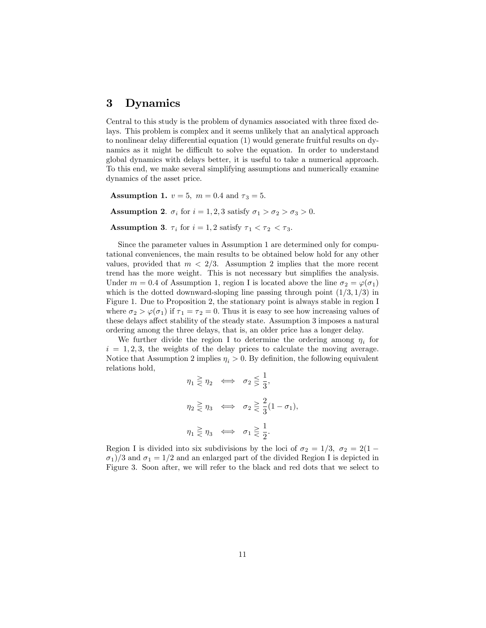## 3 Dynamics

Central to this study is the problem of dynamics associated with three fixed delays. This problem is complex and it seems unlikely that an analytical approach to nonlinear delay differential equation  $(1)$  would generate fruitful results on dynamics as it might be difficult to solve the equation. In order to understand global dynamics with delays better, it is useful to take a numerical approach. To this end, we make several simplifying assumptions and numerically examine dynamics of the asset price.

**Assumption 1.**  $v = 5$ ,  $m = 0.4$  and  $\tau_3 = 5$ .

**Assumption 2.**  $\sigma_i$  for  $i = 1, 2, 3$  satisfy  $\sigma_1 > \sigma_2 > \sigma_3 > 0$ .

**Assumption 3.**  $\tau_i$  for  $i = 1, 2$  satisfy  $\tau_1 < \tau_2 < \tau_3$ .

Since the parameter values in Assumption 1 are determined only for computational conveniences, the main results to be obtained below hold for any other values, provided that  $m < 2/3$ . Assumption 2 implies that the more recent trend has the more weight. This is not necessary but simplifies the analysis. Under  $m = 0.4$  of Assumption 1, region I is located above the line  $\sigma_2 = \varphi(\sigma_1)$ which is the dotted downward-sloping line passing through point  $(1/3, 1/3)$  in Figure 1. Due to Proposition 2, the stationary point is always stable in region I where  $\sigma_2 > \varphi(\sigma_1)$  if  $\tau_1 = \tau_2 = 0$ . Thus it is easy to see how increasing values of these delays affect stability of the steady state. Assumption 3 imposes a natural ordering among the three delays, that is, an older price has a longer delay.

We further divide the region I to determine the ordering among  $\eta_i$  for  $i = 1, 2, 3$ , the weights of the delay prices to calculate the moving average. Notice that Assumption 2 implies  $\eta_i > 0$ . By definition, the following equivalent relations hold,

$$
\eta_1 \geq \eta_2 \iff \sigma_2 \leq \frac{1}{3},
$$
  

$$
\eta_2 \geq \eta_3 \iff \sigma_2 \geq \frac{2}{3}(1 - \sigma_1),
$$
  

$$
\eta_1 \geq \eta_3 \iff \sigma_1 \geq \frac{1}{2}.
$$

Region I is divided into six subdivisions by the loci of  $\sigma_2 = 1/3$ ,  $\sigma_2 = 2(1 \sigma_1/3$  and  $\sigma_1 = 1/2$  and an enlarged part of the divided Region I is depicted in Figure 3. Soon after, we will refer to the black and red dots that we select to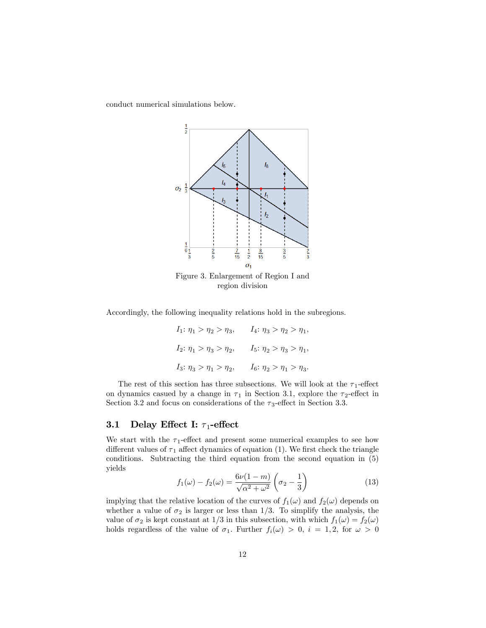conduct numerical simulations below.



Accordingly, the following inequality relations hold in the subregions.

$$
\begin{array}{ll} I_1\colon \eta_1>\eta_2>\eta_3, \qquad I_4\colon \eta_3>\eta_2>\eta_1, \\[2mm] I_2\colon \eta_1>\eta_3>\eta_2, \qquad I_5\colon \eta_2>\eta_3>\eta_1, \\[2mm] I_3\colon \eta_3>\eta_1>\eta_2, \qquad I_6\colon \eta_2>\eta_1>\eta_3. \end{array}
$$

The rest of this section has three subsections. We will look at the  $\tau_1$ -effect on dynamics casued by a change in  $\tau_1$  in Section 3.1, explore the  $\tau_2$ -effect in Section 3.2 and focus on considerations of the  $\tau_3$ -effect in Section 3.3.

## 3.1 Delay Effect I:  $\tau_1$ -effect

We start with the  $\tau_1$ -effect and present some numerical examples to see how different values of  $\tau_1$  affect dynamics of equation (1). We first check the triangle conditions. Subtracting the third equation from the second equation in (5) yields

$$
f_1(\omega) - f_2(\omega) = \frac{6\nu(1-m)}{\sqrt{\alpha^2 + \omega^2}} \left(\sigma_2 - \frac{1}{3}\right)
$$
 (13)

implying that the relative location of the curves of  $f_1(\omega)$  and  $f_2(\omega)$  depends on whether a value of  $\sigma_2$  is larger or less than 1/3. To simplify the analysis, the value of  $\sigma_2$  is kept constant at 1/3 in this subsection, with which  $f_1(\omega) = f_2(\omega)$ holds regardless of the value of  $\sigma_1$ . Further  $f_i(\omega) > 0$ ,  $i = 1, 2$ , for  $\omega > 0$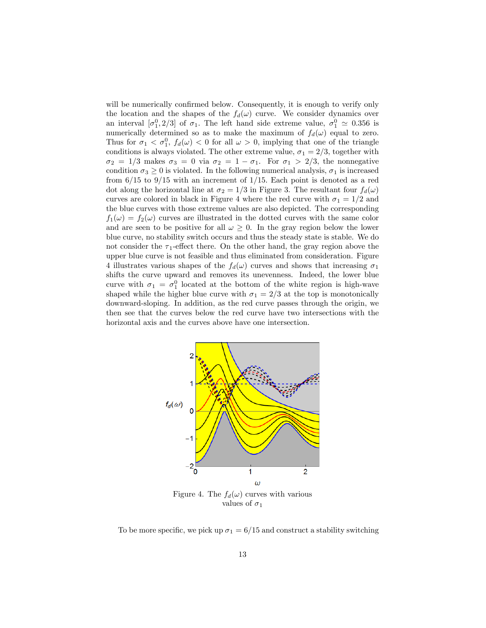will be numerically confirmed below. Consequently, it is enough to verify only the location and the shapes of the  $f_d(\omega)$  curve. We consider dynamics over an interval  $[\sigma_1^0, 2/3]$  of  $\sigma_1$ . The left hand side extreme value,  $\sigma_1^0 \simeq 0.356$  is numerically determined so as to make the maximum of  $f_d(\omega)$  equal to zero. Thus for  $\sigma_1 < \sigma_1^0$ ,  $f_d(\omega) < 0$  for all  $\omega > 0$ , implying that one of the triangle conditions is always violated. The other extreme value,  $\sigma_1 = 2/3$ , together with  $\sigma_2 = 1/3$  makes  $\sigma_3 = 0$  via  $\sigma_2 = 1 - \sigma_1$ . For  $\sigma_1 > 2/3$ , the nonnegative condition  $\sigma_3 \geq 0$  is violated. In the following numerical analysis,  $\sigma_1$  is increased from  $6/15$  to  $9/15$  with an increment of  $1/15$ . Each point is denoted as a red dot along the horizontal line at  $\sigma_2 = 1/3$  in Figure 3. The resultant four  $f_d(\omega)$ curves are colored in black in Figure 4 where the red curve with  $\sigma_1 = 1/2$  and the blue curves with those extreme values are also depicted. The corresponding  $f_1(\omega) = f_2(\omega)$  curves are illustrated in the dotted curves with the same color and are seen to be positive for all  $\omega > 0$ . In the gray region below the lower blue curve, no stability switch occurs and thus the steady state is stable. We do not consider the  $\tau_1$ -effect there. On the other hand, the gray region above the upper blue curve is not feasible and thus eliminated from consideration. Figure 4 illustrates various shapes of the  $f_d(\omega)$  curves and shows that increasing  $\sigma_1$ shifts the curve upward and removes its unevenness. Indeed, the lower blue curve with  $\sigma_1 = \sigma_1^0$  located at the bottom of the white region is high-wave shaped while the higher blue curve with  $\sigma_1 = 2/3$  at the top is monotonically downward-sloping. In addition, as the red curve passes through the origin, we then see that the curves below the red curve have two intersections with the horizontal axis and the curves above have one intersection.



values of  $\sigma_1$ 

To be more specific, we pick up  $\sigma_1 = 6/15$  and construct a stability switching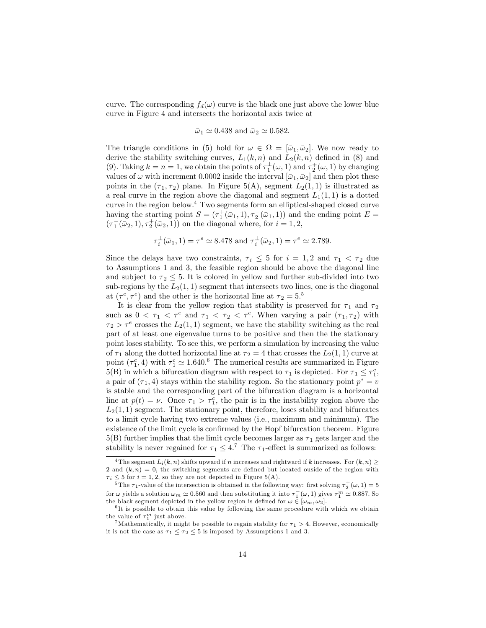curve. The corresponding  $f_d(\omega)$  curve is the black one just above the lower blue curve in Figure 4 and intersects the horizontal axis twice at

$$
\bar{\omega}_1 \simeq 0.438
$$
 and  $\bar{\omega}_2 \simeq 0.582$ .

The triangle conditions in (5) hold for  $\omega \in \Omega = [\bar{\omega}_1, \bar{\omega}_2]$ . We now ready to derive the stability switching curves,  $L_1(k, n)$  and  $L_2(k, n)$  defined in (8) and (9). Taking  $k = n = 1$ , we obtain the points of  $\tau_1^{\pm}(\omega, 1)$  and  $\tau_2^{\pm}(\omega, 1)$  by changing values of  $\omega$  with increment 0.0002 inside the interval  $[\bar{\omega}_1, \bar{\omega}_2]$  and then plot these points in the  $(\tau_1, \tau_2)$  plane. In Figure 5(A), segment  $L_2(1, 1)$  is illustrated as a real curve in the region above the diagonal and segment  $L_1(1,1)$  is a dotted curve in the region below.<sup>4</sup> Two segments form an elliptical-shaped closed curve having the starting point  $S = (\tau_1^+(\bar{\omega}_1, 1), \tau_2^-(\bar{\omega}_1, 1))$  and the ending point  $E =$  $(\tau_1^-(\bar{\omega}_2, 1), \tau_2^+(\bar{\omega}_2, 1))$  on the diagonal where, for  $i = 1, 2$ ,

$$
\tau_i^{\pm}(\bar{\omega}_1, 1) = \tau^s \simeq 8.478
$$
 and  $\tau_i^{\pm}(\bar{\omega}_2, 1) = \tau^e \simeq 2.789$ .

Since the delays have two constraints,  $\tau_i \leq 5$  for  $i = 1, 2$  and  $\tau_1 < \tau_2$  due to Assumptions 1 and 3, the feasible region should be above the diagonal line and subject to  $\tau_2 \leq 5$ . It is colored in yellow and further sub-divided into two sub-regions by the  $L_2(1,1)$  segment that intersects two lines, one is the diagonal at  $(\tau^e, \tau^e)$  and the other is the horizontal line at  $\tau_2 = 5.5$ 

It is clear from the yellow region that stability is preserved for  $\tau_1$  and  $\tau_2$ such as  $0 < \tau_1 < \tau^e$  and  $\tau_1 < \tau_2 < \tau^e$ . When varying a pair  $(\tau_1, \tau_2)$  with  $\tau_2 > \tau^e$  crosses the  $L_2(1,1)$  segment, we have the stability switching as the real part of at least one eigenvalue turns to be positive and then the the stationary point loses stability. To see this, we perform a simulation by increasing the value of  $\tau_1$  along the dotted horizontal line at  $\tau_2 = 4$  that crosses the  $L_2(1, 1)$  curve at point  $(\tau_1^c, 4)$  with  $\tau_1^c \simeq 1.640$ .<sup>6</sup> The numerical results are summarized in Figure 5(B) in which a bifurcation diagram with respect to  $\tau_1$  is depicted. For  $\tau_1 \leq \tau_1^c$ , a pair of  $(\tau_1, 4)$  stays within the stability region. So the stationary point  $p^* = v$ is stable and the corresponding part of the bifurcation diagram is a horizontal line at  $p(t) = \nu$ . Once  $\tau_1 > \tau_1^c$ , the pair is in the instability region above the  $L_2(1, 1)$  segment. The stationary point, therefore, loses stability and bifurcates to a limit cycle having two extreme values (i.e., maximum and minimum). The existence of the limit cycle is confirmed by the Hopf bifurcation theorem. Figure  $5(B)$  further implies that the limit cycle becomes larger as  $\tau_1$  gets larger and the stability is never regained for  $\tau_1 \leq 4$ .<sup>7</sup> The  $\tau_1$ -effect is summarized as follows:

<sup>&</sup>lt;sup>4</sup> The segment  $L_i(k, n)$  shifts upward if n increases and rightward if k increases. For  $(k, n) \geq$ 2 and  $(k, n) = 0$ , the switching segments are defined but located ouside of the region with  $\tau_i \leq 5$  for  $i = 1, 2$ , so they are not depicted in Figure 5(A).

<sup>&</sup>lt;sup>5</sup>The  $\tau_1$ -value of the intersection is obtained in the following way: first solving  $\tau_2^+(\omega,1) = 5$ for  $\omega$  yields a solution  $\omega_m \simeq 0.560$  and then substituting it into  $\tau_1^-(\omega, 1)$  gives  $\tau_1^m \simeq 0.887$ . So the black segment depicted in the yellow region is defined for  $\omega \in [\omega_m, \omega_2]$ .

<sup>&</sup>lt;sup>6</sup>It is possible to obtain this value by following the same procedure with which we obtain the value of  $\tau_1^m$  just above.

<sup>&</sup>lt;sup>7</sup>Mathematically, it might be possible to regain stability for  $\tau_1 > 4$ . However, economically it is not the case as  $\tau_1 \leq \tau_2 \leq 5$  is imposed by Assumptions 1 and 3.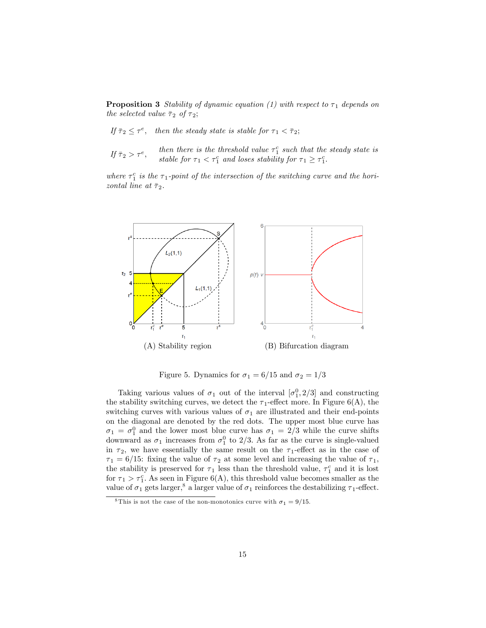**Proposition 3** Stability of dynamic equation (1) with respect to  $\tau_1$  depends on the selected value  $\bar{\tau}_2$  of  $\tau_2$ ;

If  $\bar{\tau}_2 \leq \tau^e$ , then the steady state is stable for  $\tau_1 < \bar{\tau}_2$ ;

If  $\bar{\tau}_2 > \tau^e$ , then there is the threshold value  $\tau_1^c$  such that the steady state is stable for  $\tau_1 < \tau_1^c$  and loses stability for  $\tau_1 \geq \tau_1^c$ .

where  $\tau_1^c$  is the  $\tau_1$ -point of the intersection of the switching curve and the horizontal line at  $\bar{\tau}_2$ .



Figure 5. Dynamics for  $\sigma_1 = 6/15$  and  $\sigma_2 = 1/3$ 

Taking various values of  $\sigma_1$  out of the interval  $[\sigma_1^0, 2/3]$  and constructing the stability switching curves, we detect the  $\tau_1$ -effect more. In Figure 6(A), the switching curves with various values of  $\sigma_1$  are illustrated and their end-points on the diagonal are denoted by the red dots. The upper most blue curve has  $\sigma_1 = \sigma_1^0$  and the lower most blue curve has  $\sigma_1 = 2/3$  while the curve shifts downward as  $\sigma_1$  increases from  $\sigma_1^0$  to 2/3. As far as the curve is single-valued in  $\tau_2$ , we have essentially the same result on the  $\tau_1$ -effect as in the case of  $\tau_1 = 6/15$ : fixing the value of  $\tau_2$  at some level and increasing the value of  $\tau_1$ , the stability is preserved for  $\tau_1$  less than the threshold value,  $\tau_1^c$  and it is lost for  $\tau_1 > \tau_1^c$ . As seen in Figure 6(A), this threshold value becomes smaller as the value of  $\sigma_1$  gets larger,<sup>8</sup> a larger value of  $\sigma_1$  reinforces the destabilizing  $\tau_1$ -effect.

<sup>&</sup>lt;sup>8</sup>This is not the case of the non-monotonics curve with  $\sigma_1 = 9/15$ .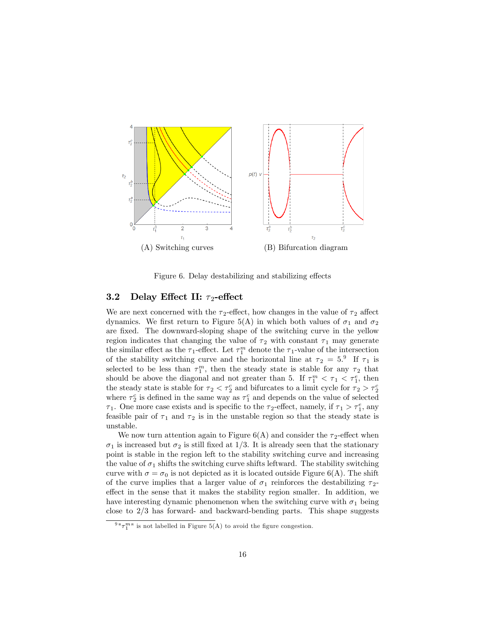

Figure 6. Delay destabilizing and stabilizing effects

### 3.2 Delay Effect II:  $\tau_2$ -effect

We are next concerned with the  $\tau_2$ -effect, how changes in the value of  $\tau_2$  affect dynamics. We first return to Figure 5(A) in which both values of  $\sigma_1$  and  $\sigma_2$ are fixed. The downward-sloping shape of the switching curve in the yellow region indicates that changing the value of  $\tau_2$  with constant  $\tau_1$  may generate the similar effect as the  $\tau_1$ -effect. Let  $\tau_1^m$  denote the  $\tau_1$ -value of the intersection of the stability switching curve and the horizontal line at  $\tau_2 = 5$ .<sup>9</sup> If  $\tau_1$  is selected to be less than  $\tau_1^m$ , then the steady state is stable for any  $\tau_2$  that should be above the diagonal and not greater than 5. If  $\tau_1^m < \tau_1 < \tau_1^e$ , then the steady state is stable for  $\tau_2 < \tau_2^c$  and bifurcates to a limit cycle for  $\tau_2 > \tau_2^c$ where  $\tau_2^c$  is defined in the same way as  $\tau_1^c$  and depends on the value of selected  $\tau_1$ . One more case exists and is specific to the  $\tau_2$ -effect, namely, if  $\tau_1 > \tau_1^e$ , any feasible pair of  $\tau_1$  and  $\tau_2$  is in the unstable region so that the steady state is unstable.

We now turn attention again to Figure  $6(A)$  and consider the  $\tau_2$ -effect when  $\sigma_1$  is increased but  $\sigma_2$  is still fixed at 1/3. It is already seen that the stationary point is stable in the region left to the stability switching curve and increasing the value of  $\sigma_1$  shifts the switching curve shifts leftward. The stability switching curve with  $\sigma = \sigma_0$  is not depicted as it is located outside Figure 6(A). The shift of the curve implies that a larger value of  $\sigma_1$  reinforces the destabilizing  $\tau_2$ effect in the sense that it makes the stability region smaller. In addition, we have interesting dynamic phenomenon when the switching curve with  $\sigma_1$  being close to  $2/3$  has forward- and backward-bending parts. This shape suggests

 $9 \sqrt[m]{n}$  is not labelled in Figure 5(A) to avoid the figure congestion.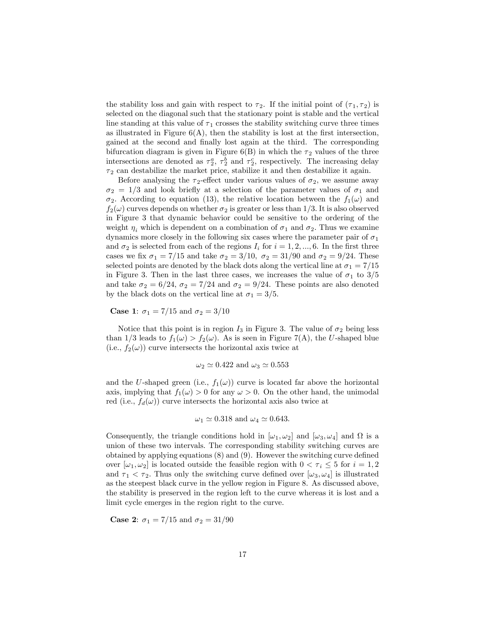the stability loss and gain with respect to  $\tau_2$ . If the initial point of  $(\tau_1, \tau_2)$  is selected on the diagonal such that the stationary point is stable and the vertical line standing at this value of  $\tau_1$  crosses the stability switching curve three times as illustrated in Figure  $6(A)$ , then the stability is lost at the first intersection, gained at the second and Önally lost again at the third. The corresponding bifurcation diagram is given in Figure  $6(B)$  in which the  $\tau_2$  values of the three intersections are denoted as  $\tau_2^a$ ,  $\tau_2^b$  and  $\tau_2^c$ , respectively. The increasing delay  $\tau_2$  can destabilize the market price, stabilize it and then destabilize it again.

Before analysing the  $\tau_2$ -effect under various values of  $\sigma_2$ , we assume away  $\sigma_2 = 1/3$  and look briefly at a selection of the parameter values of  $\sigma_1$  and  $\sigma_2$ . According to equation (13), the relative location between the  $f_1(\omega)$  and  $f_2(\omega)$  curves depends on whether  $\sigma_2$  is greater or less than 1/3. It is also observed in Figure 3 that dynamic behavior could be sensitive to the ordering of the weight  $\eta_i$  which is dependent on a combination of  $\sigma_1$  and  $\sigma_2$ . Thus we examine dynamics more closely in the following six cases where the parameter pair of  $\sigma_1$ and  $\sigma_2$  is selected from each of the regions  $I_i$  for  $i = 1, 2, ..., 6$ . In the first three cases we fix  $\sigma_1 = 7/15$  and take  $\sigma_2 = 3/10$ ,  $\sigma_2 = 31/90$  and  $\sigma_2 = 9/24$ . These selected points are denoted by the black dots along the vertical line at  $\sigma_1 = 7/15$ in Figure 3. Then in the last three cases, we increases the value of  $\sigma_1$  to  $3/5$ and take  $\sigma_2 = 6/24$ ,  $\sigma_2 = 7/24$  and  $\sigma_2 = 9/24$ . These points are also denoted by the black dots on the vertical line at  $\sigma_1 = 3/5$ .

**Case 1:**  $\sigma_1 = 7/15$  and  $\sigma_2 = 3/10$ 

Notice that this point is in region  $I_3$  in Figure 3. The value of  $\sigma_2$  being less than 1/3 leads to  $f_1(\omega) > f_2(\omega)$ . As is seen in Figure 7(A), the U-shaped blue (i.e.,  $f_2(\omega)$ ) curve intersects the horizontal axis twice at

$$
\omega_2 \simeq 0.422
$$
 and  $\omega_3 \simeq 0.553$ 

and the U-shaped green (i.e.,  $f_1(\omega)$ ) curve is located far above the horizontal axis, implying that  $f_1(\omega) > 0$  for any  $\omega > 0$ . On the other hand, the unimodal red (i.e.,  $f_d(\omega)$ ) curve intersects the horizontal axis also twice at

$$
\omega_1 \simeq 0.318
$$
 and  $\omega_4 \simeq 0.643$ .

Consequently, the triangle conditions hold in  $[\omega_1, \omega_2]$  and  $[\omega_3, \omega_4]$  and  $\Omega$  is a union of these two intervals: The corresponding stability switching curves are obtained by applying equations  $(8)$  and  $(9)$ . However the switching curve defined over  $[\omega_1, \omega_2]$  is located outside the feasible region with  $0 < \tau_i \leq 5$  for  $i = 1, 2$ and  $\tau_1 < \tau_2$ . Thus only the switching curve defined over  $[\omega_3, \omega_4]$  is illustrated as the steepest black curve in the yellow region in Figure 8. As discussed above, the stability is preserved in the region left to the curve whereas it is lost and a limit cycle emerges in the region right to the curve.

**Case 2:**  $\sigma_1 = 7/15$  and  $\sigma_2 = 31/90$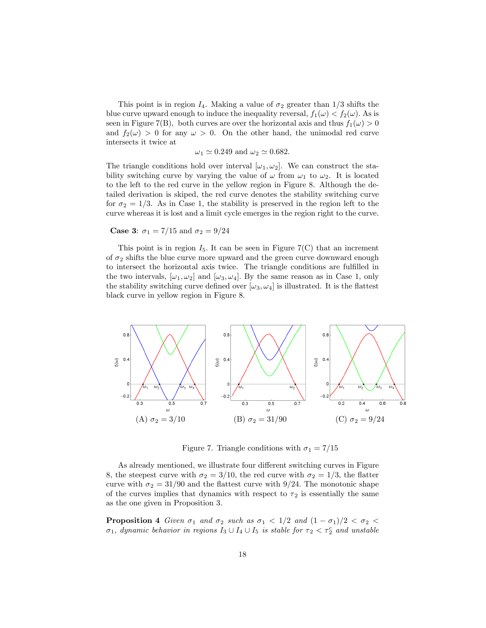This point is in region  $I_4$ . Making a value of  $\sigma_2$  greater than  $1/3$  shifts the blue curve upward enough to induce the inequality reversal,  $f_1(\omega) < f_2(\omega)$ . As is seen in Figure 7(B), both curves are over the horizontal axis and thus  $f_1(\omega) > 0$ and  $f_2(\omega) > 0$  for any  $\omega > 0$ . On the other hand, the unimodal red curve intersects it twice at

 $\omega_1 \simeq 0.249$  and  $\omega_2 \simeq 0.682$ .

The triangle conditions hold over interval  $[\omega_1, \omega_2]$ . We can construct the stability switching curve by varying the value of  $\omega$  from  $\omega_1$  to  $\omega_2$ . It is located to the left to the red curve in the yellow region in Figure 8. Although the detailed derivation is skiped, the red curve denotes the stability switching curve for  $\sigma_2 = 1/3$ . As in Case 1, the stability is preserved in the region left to the curve whereas it is lost and a limit cycle emerges in the region right to the curve.

**Case 3:**  $\sigma_1 = 7/15$  and  $\sigma_2 = 9/24$ 

This point is in region  $I_5$ . It can be seen in Figure 7(C) that an increment of  $\sigma_2$  shifts the blue curve more upward and the green curve downward enough to intersect the horizontal axis twice. The triangle conditions are fulfilled in the two intervals,  $[\omega_1, \omega_2]$  and  $[\omega_3, \omega_4]$ . By the same reason as in Case 1, only the stability switching curve defined over  $[\omega_3, \omega_4]$  is illustrated. It is the flattest black curve in yellow region in Figure 8.



Figure 7. Triangle conditions with  $\sigma_1 = 7/15$ 

As already mentioned, we illustrate four different switching curves in Figure 8, the steepest curve with  $\sigma_2 = 3/10$ , the red curve with  $\sigma_2 = 1/3$ , the flatter curve with  $\sigma_2 = 31/90$  and the flattest curve with 9/24. The monotonic shape of the curves implies that dynamics with respect to  $\tau_2$  is essentially the same as the one given in Proposition 3.

**Proposition 4** Given  $\sigma_1$  and  $\sigma_2$  such as  $\sigma_1 < 1/2$  and  $(1 - \sigma_1)/2 < \sigma_2 <$  $\sigma_1$ , dynamic behavior in regions  $I_3 \cup I_4 \cup I_5$  is stable for  $\tau_2 < \tau_2^c$  and unstable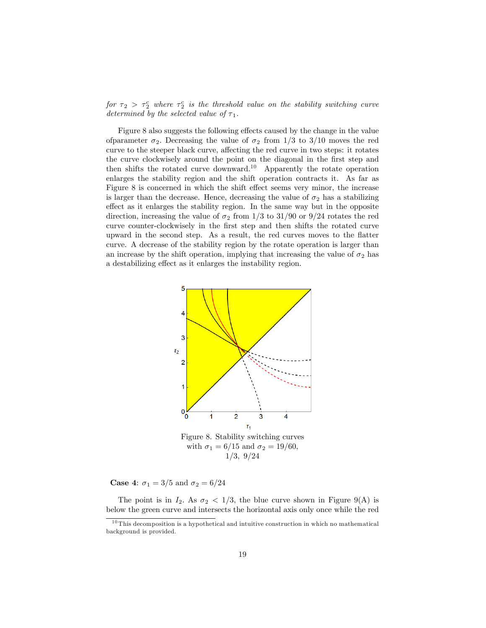for  $\tau_2 > \tau_2^c$  where  $\tau_2^c$  is the threshold value on the stability switching curve determined by the selected value of  $\tau_1$ .

Figure 8 also suggests the following effects caused by the change in the value of parameter  $\sigma_2$ . Decreasing the value of  $\sigma_2$  from 1/3 to 3/10 moves the red curve to the steeper black curve, affecting the red curve in two steps: it rotates the curve clockwisely around the point on the diagonal in the first step and then shifts the rotated curve downward.<sup>10</sup> Apparently the rotate operation enlarges the stability region and the shift operation contracts it. As far as Figure 8 is concerned in which the shift effect seems very minor, the increase is larger than the decrease. Hence, decreasing the value of  $\sigma_2$  has a stabilizing effect as it enlarges the stability region. In the same way but in the opposite direction, increasing the value of  $\sigma_2$  from 1/3 to 31/90 or 9/24 rotates the red curve counter-clockwisely in the first step and then shifts the rotated curve upward in the second step. As a result, the red curves moves to the flatter curve. A decrease of the stability region by the rotate operation is larger than an increase by the shift operation, implying that increasing the value of  $\sigma_2$  has a destabilizing effect as it enlarges the instability region.



**Case 4:**  $\sigma_1 = 3/5$  and  $\sigma_2 = 6/24$ 

The point is in  $I_2$ . As  $\sigma_2 < 1/3$ , the blue curve shown in Figure 9(A) is below the green curve and intersects the horizontal axis only once while the red

 $10$  This decomposition is a hypothetical and intuitive construction in which no mathematical background is provided.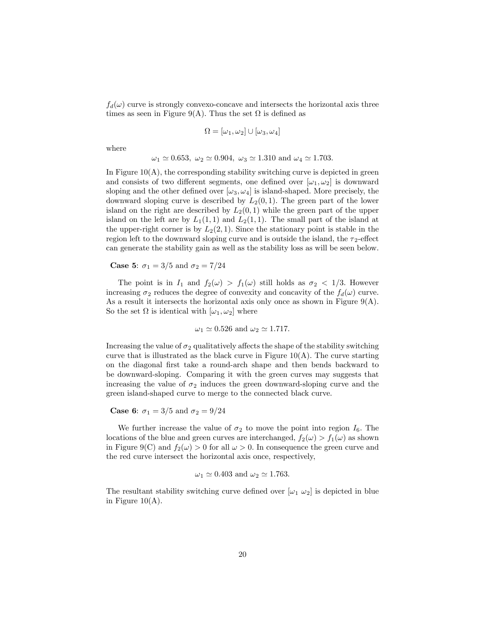$f_d(\omega)$  curve is strongly convexo-concave and intersects the horizontal axis three times as seen in Figure 9(A). Thus the set  $\Omega$  is defined as

$$
\Omega = [\omega_1, \omega_2] \cup [\omega_3, \omega_4]
$$

where

$$
\omega_1 \simeq 0.653, \ \omega_2 \simeq 0.904, \ \omega_3 \simeq 1.310 \text{ and } \omega_4 \simeq 1.703.
$$

In Figure  $10(A)$ , the corresponding stability switching curve is depicted in green and consists of two different segments, one defined over  $[\omega_1, \omega_2]$  is downward sloping and the other defined over  $[\omega_3, \omega_4]$  is island-shaped. More precisely, the downward sloping curve is described by  $L_2(0,1)$ . The green part of the lower island on the right are described by  $L_2(0,1)$  while the green part of the upper island on the left are by  $L_1(1,1)$  and  $L_2(1,1)$ . The small part of the island at the upper-right corner is by  $L_2(2,1)$ . Since the stationary point is stable in the region left to the downward sloping curve and is outside the island, the  $\tau_2$ -effect can generate the stability gain as well as the stability loss as will be seen below.

#### **Case 5:**  $\sigma_1 = 3/5$  and  $\sigma_2 = 7/24$

The point is in  $I_1$  and  $f_2(\omega) > f_1(\omega)$  still holds as  $\sigma_2 < 1/3$ . However increasing  $\sigma_2$  reduces the degree of convexity and concavity of the  $f_d(\omega)$  curve. As a result it intersects the horizontal axis only once as shown in Figure  $9(A)$ . So the set  $\Omega$  is identical with  $[\omega_1, \omega_2]$  where

$$
\omega_1 \simeq 0.526
$$
 and  $\omega_2 \simeq 1.717$ .

Increasing the value of  $\sigma_2$  qualitatively affects the shape of the stability switching curve that is illustrated as the black curve in Figure  $10(A)$ . The curve starting on the diagonal Örst take a round-arch shape and then bends backward to be downward-sloping. Comparing it with the green curves may suggests that increasing the value of  $\sigma_2$  induces the green downward-sloping curve and the green island-shaped curve to merge to the connected black curve.

**Case 6:**  $\sigma_1 = 3/5$  and  $\sigma_2 = 9/24$ 

We further increase the value of  $\sigma_2$  to move the point into region  $I_6$ . The locations of the blue and green curves are interchanged,  $f_2(\omega) > f_1(\omega)$  as shown in Figure 9(C) and  $f_2(\omega) > 0$  for all  $\omega > 0$ . In consequence the green curve and the red curve intersect the horizontal axis once, respectively,

$$
\omega_1 \simeq 0.403
$$
 and  $\omega_2 \simeq 1.763$ .

The resultant stability switching curve defined over  $[\omega_1 \ \omega_2]$  is depicted in blue in Figure 10(A).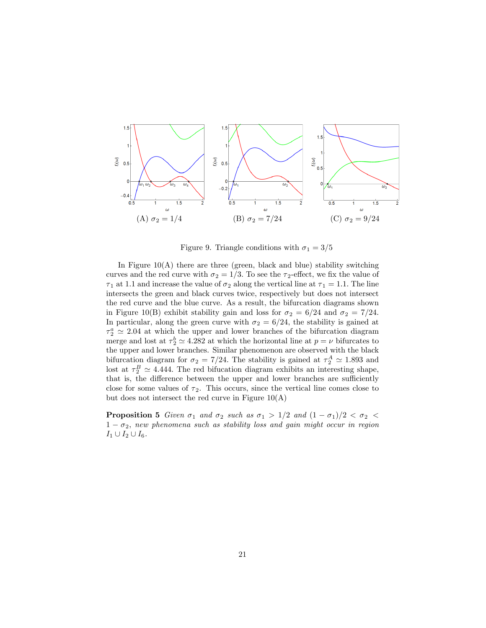

Figure 9. Triangle conditions with  $\sigma_1 = 3/5$ 

In Figure  $10(A)$  there are three (green, black and blue) stability switching curves and the red curve with  $\sigma_2 = 1/3$ . To see the  $\tau_2$ -effect, we fix the value of  $\tau_1$  at 1.1 and increase the value of  $\sigma_2$  along the vertical line at  $\tau_1 = 1.1$ . The line intersects the green and black curves twice, respectively but does not intersect the red curve and the blue curve. As a result, the bifurcation diagrams shown in Figure 10(B) exhibit stability gain and loss for  $\sigma_2 = 6/24$  and  $\sigma_2 = 7/24$ . In particular, along the green curve with  $\sigma_2 = 6/24$ , the stability is gained at  $\tau_2^a \simeq 2.04$  at which the upper and lower branches of the bifurcation diagram merge and lost at  $\tau_2^b \simeq 4.282$  at which the horizontal line at  $p = \nu$  bifurcates to the upper and lower branches. Similar phenomenon are observed with the black bifurcation diagram for  $\sigma_2 = 7/24$ . The stability is gained at  $\tau_2^A \simeq 1.893$  and lost at  $\tau_2^B \simeq 4.444$ . The red bifucation diagram exhibits an interesting shape, that is, the difference between the upper and lower branches are sufficiently close for some values of  $\tau_2$ . This occurs, since the vertical line comes close to but does not intersect the red curve in Figure 10(A)

**Proposition 5** Given  $\sigma_1$  and  $\sigma_2$  such as  $\sigma_1 > 1/2$  and  $(1 - \sigma_1)/2 < \sigma_2 <$  $1 - \sigma_2$ , new phenomena such as stability loss and gain might occur in region  $I_1 \cup I_2 \cup I_6.$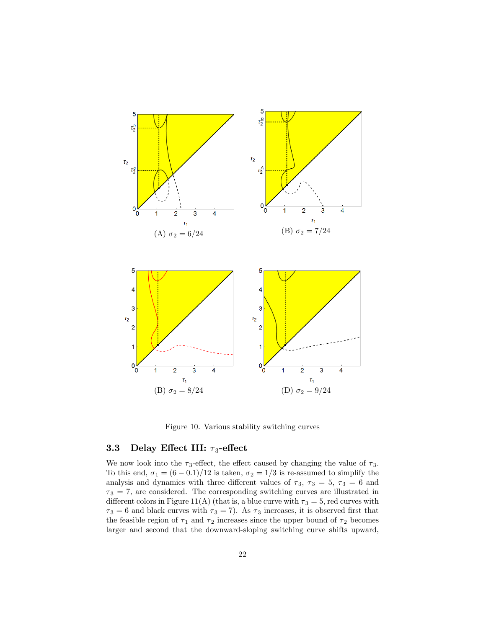

Figure 10. Various stability switching curves

#### 3.3 Delay Effect III:  $\tau_3$ -effect

We now look into the  $\tau_3$ -effect, the effect caused by changing the value of  $\tau_3$ . To this end,  $\sigma_1 = (6 - 0.1)/12$  is taken,  $\sigma_2 = 1/3$  is re-assumed to simplify the analysis and dynamics with three different values of  $\tau_3$ ,  $\tau_3 = 5$ ,  $\tau_3 = 6$  and  $\tau_3 = 7$ , are considered. The corresponding switching curves are illustrated in different colors in Figure 11(A) (that is, a blue curve with  $\tau_3 = 5$ , red curves with  $\tau_3 = 6$  and black curves with  $\tau_3 = 7$ ). As  $\tau_3$  increases, it is observed first that the feasible region of  $\tau_1$  and  $\tau_2$  increases since the upper bound of  $\tau_2$  becomes larger and second that the downward-sloping switching curve shifts upward,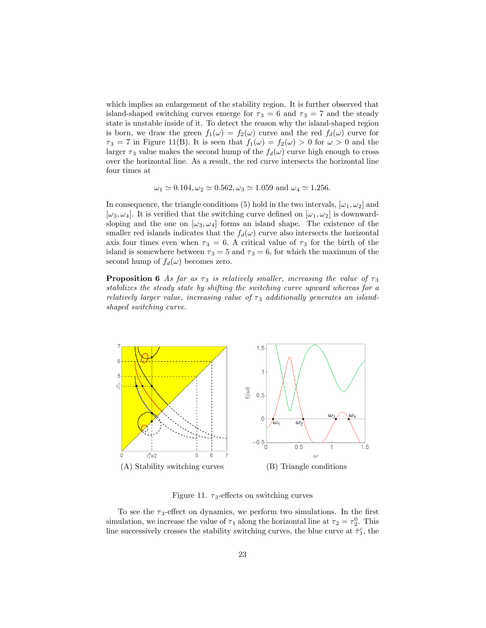which implies an enlargement of the stability region. It is further observed that island-shaped switching curves emerge for  $\tau_3 = 6$  and  $\tau_3 = 7$  and the steady state is unstable inside of it. To detect the reason why the island-shaped region is born, we draw the green  $f_1(\omega) = f_2(\omega)$  curve and the red  $f_d(\omega)$  curve for  $\tau_3 = 7$  in Figure 11(B). It is seen that  $f_1(\omega) = f_2(\omega) > 0$  for  $\omega > 0$  and the larger  $\tau_3$  value makes the second hump of the  $f_d(\omega)$  curve high enough to cross over the horizontal line. As a result, the red curve intersects the horizontal line four times at

 $\omega_1 \simeq 0.104, \omega_2 \simeq 0.562, \omega_3 \simeq 1.059$  and  $\omega_4 \simeq 1.256$ .

In consequence, the triangle conditions (5) hold in the two intervals,  $[\omega_1, \omega_2]$  and  $[\omega_3, \omega_4]$ . It is verified that the switching curve defined on  $[\omega_1, \omega_2]$  is downwardsloping and the one on  $[\omega_3, \omega_4]$  forms an island shape. The existence of the smaller red islands indicates that the  $f_d(\omega)$  curve also intersects the horizontal axis four times even when  $\tau_3 = 6$ . A critical value of  $\tau_3$  for the birth of the island is somewhere between  $\tau_3 = 5$  and  $\tau_3 = 6$ , for which the maximum of the second hump of  $f_d(\omega)$  becomes zero.

**Proposition 6** As far as  $\tau_3$  is relatively smaller, increasing the value of  $\tau_3$ stabilizes the steady state by shifting the switching curve upward whereas for a relatively larger value, increasing value of  $\tau_3$  additionally generates an islandshaped switching curve.



Figure 11.  $\tau_3$ -effects on switching curves

To see the  $\tau_3$ -effect on dynamics, we perform two simulations. In the first simulation, we increase the value of  $\tau_1$  along the horizontal line at  $\tau_2 = \tau_2^0$ . This line successively crosses the stability switching curves, the blue curve at  $\bar{\tau}_1^c$ , the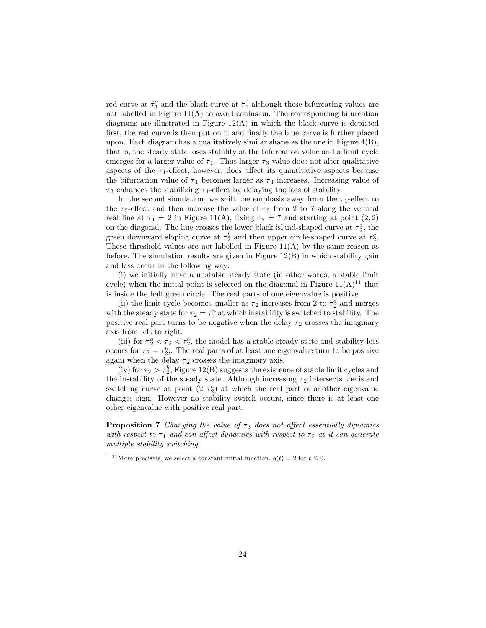red curve at  $\tilde{\tau}_1^c$  and the black curve at  $\hat{\tau}_1^c$  although these bifurcating values are not labelled in Figure  $11(A)$  to avoid confusion. The corresponding bifurcation diagrams are illustrated in Figure  $12(A)$  in which the black curve is depicted first, the red curve is then put on it and finally the blue curve is further placed upon. Each diagram has a qualitatively similar shape as the one in Figure  $4(B)$ , that is, the steady state loses stability at the bifurcation value and a limit cycle emerges for a larger value of  $\tau_1$ . Thus larger  $\tau_3$  value does not alter qualitative aspects of the  $\tau_1$ -effect, however, does affect its quantitative aspects because the bifurcation value of  $\tau_1$  becomes larger as  $\tau_3$  increases. Increasing value of  $\tau_3$  enhances the stabilizing  $\tau_1$ -effect by delaying the loss of stability.

In the second simulation, we shift the emphasis away from the  $\tau_1$ -effect to the  $\tau_2$ -effect and then increase the value of  $\tau_2$  from 2 to 7 along the vertical real line at  $\tau_1 = 2$  in Figure 11(A), fixing  $\tau_3 = 7$  and starting at point (2,2) on the diagonal. The line crosses the lower black island-shaped curve at  $\tau_2^a$ , the green downward sloping curve at  $\tau_2^b$  and then upper circle-shaped curve at  $\tau_2^c$ . These threshold values are not labelled in Figure  $11(A)$  by the same reason as before. The simulation results are given in Figure 12(B) in which stability gain and loss occur in the following way:

(i) we initially have a unstable steady state (in other words, a stable limit cycle) when the initial point is selected on the diagonal in Figure  $11(A)^{11}$  that is inside the half green circle. The real parts of one eigenvalue is positive.

(ii) the limit cycle becomes smaller as  $\tau_2$  increases from 2 to  $\tau_2^a$  and merges with the steady state for  $\tau_2 = \tau_2^a$  at which instability is switched to stability. The positive real part turns to be negative when the delay  $\tau_2$  crosses the imaginary axis from left to right.

(iii) for  $\tau_2^a < \tau_2 < \tau_2^b$ , the model has a stable steady state and stability loss occurs for  $\tau_2 = \tau_2^b$ . The real parts of at least one eigenvalue turn to be positive again when the delay  $\tau_2$  crosses the imaginary axis.

(iv) for  $\tau_2 > \tau_2^b$ , Figure 12(B) suggests the existence of stable limit cycles and the instability of the steady state. Although increasing  $\tau_2$  intersects the island switching curve at point  $(2, \tau_2^c)$  at which the real part of another eigenvalue changes sign. However no stability switch occurs, since there is at least one other eigenvalue with positive real part.

**Proposition 7** Changing the value of  $\tau_3$  does not affect essentially dynamics with respect to  $\tau_1$  and can affect dynamics with respect to  $\tau_2$  as it can generate multiple stability switching.

<sup>&</sup>lt;sup>11</sup> More precisely, we select a constant initial function,  $g(t) = 2$  for  $t \le 0$ .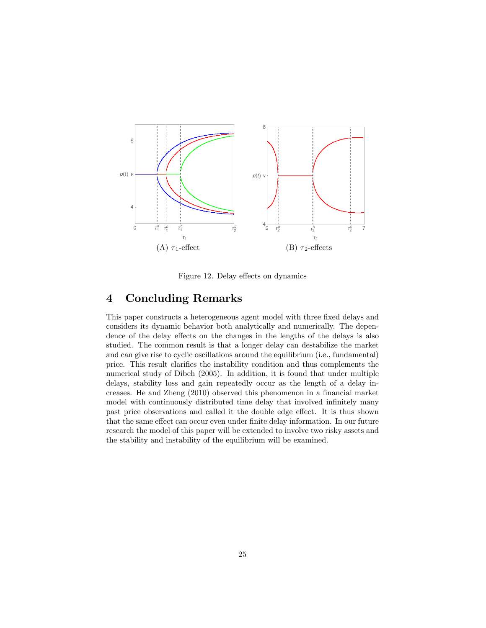

Figure 12. Delay effects on dynamics

## 4 Concluding Remarks

This paper constructs a heterogeneous agent model with three fixed delays and considers its dynamic behavior both analytically and numerically. The dependence of the delay effects on the changes in the lengths of the delays is also studied. The common result is that a longer delay can destabilize the market and can give rise to cyclic oscillations around the equilibrium (i.e., fundamental) price. This result clarifies the instability condition and thus complements the numerical study of Dibeh (2005). In addition, it is found that under multiple delays, stability loss and gain repeatedly occur as the length of a delay increases. He and Zheng (2010) observed this phenomenon in a financial market model with continuously distributed time delay that involved infinitely many past price observations and called it the double edge effect. It is thus shown that the same effect can occur even under finite delay information. In our future research the model of this paper will be extended to involve two risky assets and the stability and instability of the equilibrium will be examined.